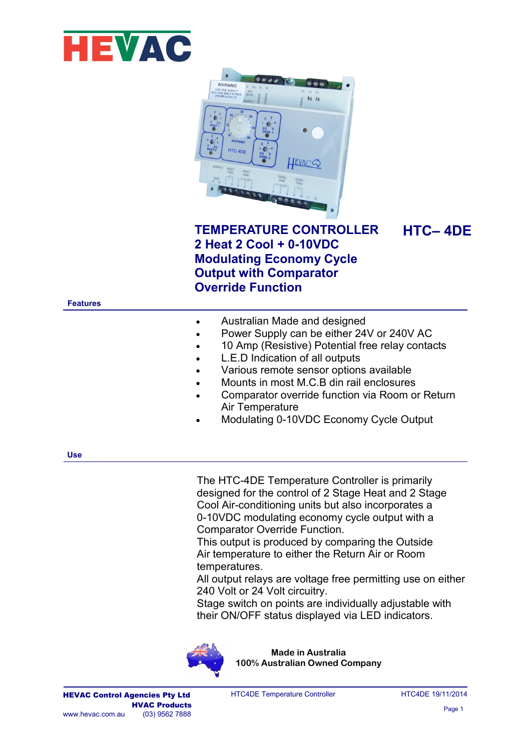



## **TEMPERATURE CONTROLLER 2 Heat 2 Cool + 0-10VDC Modulating Economy Cycle Output with Comparator Override Function**

**HTC– 4DE**

## **Features**

| Australian Made and designed |
|------------------------------|
|------------------------------|

- Power Supply can be either 24V or 240V AC
- 10 Amp (Resistive) Potential free relay contacts
- L.E.D Indication of all outputs
- Various remote sensor options available
- Mounts in most M.C.B din rail enclosures
- Comparator override function via Room or Return Air Temperature
- Modulating 0-10VDC Economy Cycle Output

**Use**

The HTC-4DE Temperature Controller is primarily designed for the control of 2 Stage Heat and 2 Stage Cool Air-conditioning units but also incorporates a 0-10VDC modulating economy cycle output with a Comparator Override Function.

This output is produced by comparing the Outside Air temperature to either the Return Air or Room temperatures.

All output relays are voltage free permitting use on either 240 Volt or 24 Volt circuitry.

Stage switch on points are individually adjustable with their ON/OFF status displayed via LED indicators.



**Made in Australia 100% Australian Owned Company**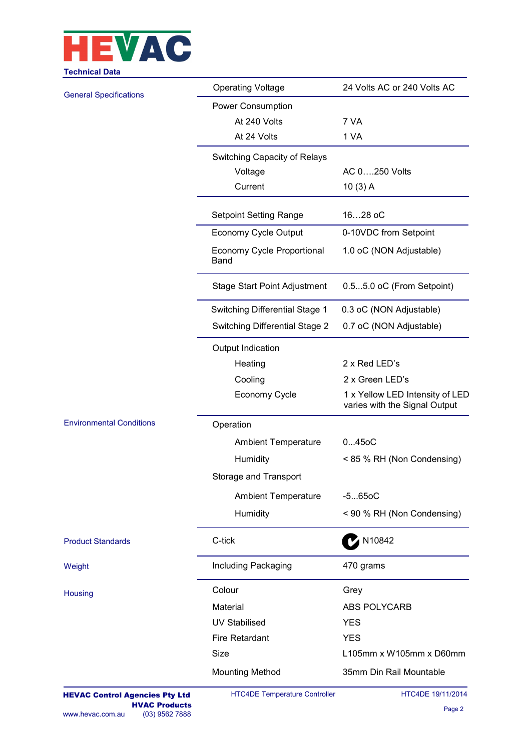

| Jumuu Dala                      |                                           |                                                                               |  |  |  |  |  |
|---------------------------------|-------------------------------------------|-------------------------------------------------------------------------------|--|--|--|--|--|
| <b>General Specifications</b>   | <b>Operating Voltage</b>                  | 24 Volts AC or 240 Volts AC                                                   |  |  |  |  |  |
|                                 | Power Consumption                         |                                                                               |  |  |  |  |  |
|                                 | At 240 Volts                              | 7 VA                                                                          |  |  |  |  |  |
|                                 | At 24 Volts                               | 1 VA                                                                          |  |  |  |  |  |
|                                 | Switching Capacity of Relays              |                                                                               |  |  |  |  |  |
|                                 | Voltage                                   | AC 0250 Volts                                                                 |  |  |  |  |  |
|                                 | Current                                   | $10(3)$ A                                                                     |  |  |  |  |  |
|                                 | <b>Setpoint Setting Range</b>             | 1628 oC                                                                       |  |  |  |  |  |
|                                 | Economy Cycle Output                      | 0-10VDC from Setpoint<br>1.0 oC (NON Adjustable)<br>0.55.0 oC (From Setpoint) |  |  |  |  |  |
|                                 | Economy Cycle Proportional<br><b>Band</b> |                                                                               |  |  |  |  |  |
|                                 | <b>Stage Start Point Adjustment</b>       |                                                                               |  |  |  |  |  |
|                                 | Switching Differential Stage 1            | 0.3 oC (NON Adjustable)                                                       |  |  |  |  |  |
|                                 | <b>Switching Differential Stage 2</b>     | 0.7 oC (NON Adjustable)                                                       |  |  |  |  |  |
|                                 | Output Indication                         |                                                                               |  |  |  |  |  |
|                                 | Heating                                   | 2 x Red LED's                                                                 |  |  |  |  |  |
|                                 | Cooling                                   | 2 x Green LED's                                                               |  |  |  |  |  |
|                                 | Economy Cycle                             | 1 x Yellow LED Intensity of LED<br>varies with the Signal Output              |  |  |  |  |  |
| <b>Environmental Conditions</b> | Operation                                 |                                                                               |  |  |  |  |  |
|                                 | <b>Ambient Temperature</b>                | 0450C                                                                         |  |  |  |  |  |
|                                 | Humidity                                  | < 85 % RH (Non Condensing)                                                    |  |  |  |  |  |
|                                 | Storage and Transport                     |                                                                               |  |  |  |  |  |
|                                 | <b>Ambient Temperature</b>                | $-5650C$                                                                      |  |  |  |  |  |
|                                 | Humidity                                  | < 90 % RH (Non Condensing)                                                    |  |  |  |  |  |
| <b>Product Standards</b>        | C-tick                                    | <b>M10842</b>                                                                 |  |  |  |  |  |
| Weight                          | Including Packaging                       | 470 grams                                                                     |  |  |  |  |  |
| Housing                         | Colour                                    | Grey                                                                          |  |  |  |  |  |
|                                 | Material                                  | ABS POLYCARB                                                                  |  |  |  |  |  |
|                                 | <b>UV Stabilised</b>                      | <b>YES</b>                                                                    |  |  |  |  |  |
|                                 | Fire Retardant                            | <b>YES</b>                                                                    |  |  |  |  |  |
|                                 | Size                                      | L105mm x W105mm x D60mm                                                       |  |  |  |  |  |
|                                 | <b>Mounting Method</b>                    | 35mm Din Rail Mountable                                                       |  |  |  |  |  |
|                                 |                                           |                                                                               |  |  |  |  |  |

HTC4DE Temperature Controller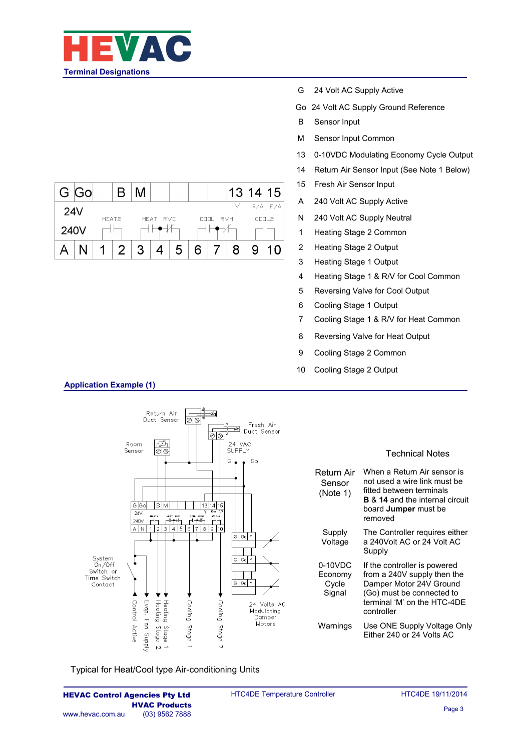

|      | G Gol |       |  |   |          |   |   |          | 13 | 14 15 |         |
|------|-------|-------|--|---|----------|---|---|----------|----|-------|---------|
| 24V  |       | HEAT2 |  |   | HEAT RVC |   |   | COOL RVH |    | COOL2 | R/A F/A |
| 240V |       |       |  |   |          |   |   |          |    |       |         |
|      |       |       |  | ຊ |          | 5 | 6 |          | 8  |       |         |

- G 24 Volt AC Supply Active
- Go 24 Volt AC Supply Ground Reference
- B Sensor Input
- M Sensor Input Common
- 13 0-10VDC Modulating Economy Cycle Output
- 14 Return Air Sensor Input (See Note 1 Below)
- 15 Fresh Air Sensor Input
- A 240 Volt AC Supply Active
- N 240 Volt AC Supply Neutral
- 1 Heating Stage 2 Common
- 2 Heating Stage 2 Output
- 3 Heating Stage 1 Output
- 4 Heating Stage 1 & R/V for Cool Common
- 5 Reversing Valve for Cool Output
- 6 Cooling Stage 1 Output
- 7 Cooling Stage 1 & R/V for Heat Common
- 8 Reversing Valve for Heat Output
- 9 Cooling Stage 2 Common
- 10 Cooling Stage 2 Output



Typical for Heat/Cool type Air-conditioning Units

**Application Example (1)**